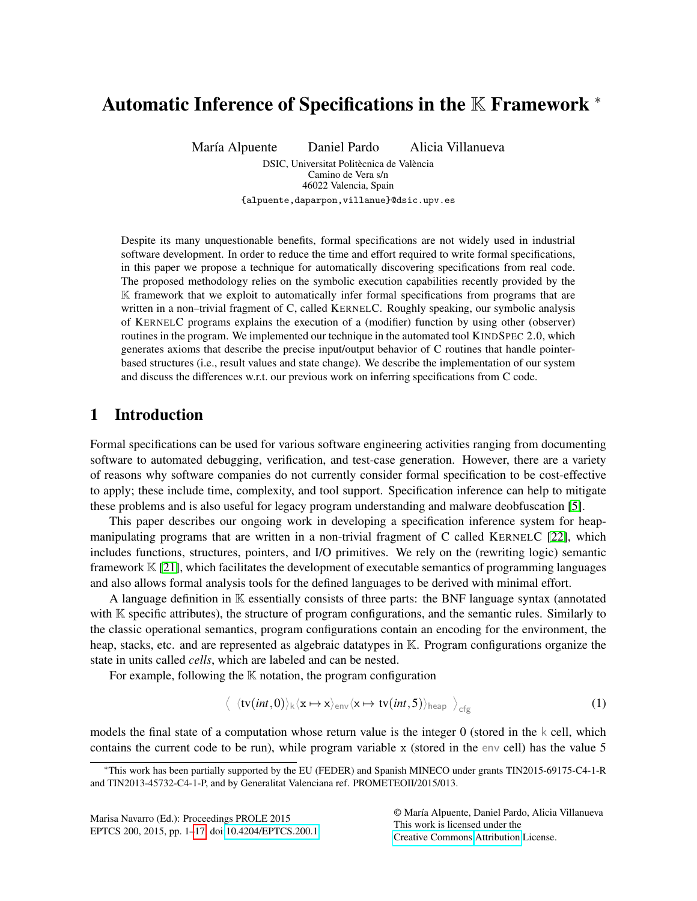# <span id="page-0-1"></span>Automatic Inference of Specifications in the K Framework <sup>∗</sup>

María Alpuente Daniel Pardo Alicia Villanueva

DSIC, Universitat Politècnica de València Camino de Vera s/n 46022 Valencia, Spain {alpuente,daparpon,villanue}@dsic.upv.es

Despite its many unquestionable benefits, formal specifications are not widely used in industrial software development. In order to reduce the time and effort required to write formal specifications, in this paper we propose a technique for automatically discovering specifications from real code. The proposed methodology relies on the symbolic execution capabilities recently provided by the K framework that we exploit to automatically infer formal specifications from programs that are written in a non–trivial fragment of C, called KERNELC. Roughly speaking, our symbolic analysis of KERNELC programs explains the execution of a (modifier) function by using other (observer) routines in the program. We implemented our technique in the automated tool KINDSPEC 2.0, which generates axioms that describe the precise input/output behavior of C routines that handle pointerbased structures (i.e., result values and state change). We describe the implementation of our system and discuss the differences w.r.t. our previous work on inferring specifications from C code.

# 1 Introduction

Formal specifications can be used for various software engineering activities ranging from documenting software to automated debugging, verification, and test-case generation. However, there are a variety of reasons why software companies do not currently consider formal specification to be cost-effective to apply; these include time, complexity, and tool support. Specification inference can help to mitigate these problems and is also useful for legacy program understanding and malware deobfuscation [\[5\]](#page-15-0).

This paper describes our ongoing work in developing a specification inference system for heapmanipulating programs that are written in a non-trivial fragment of C called KERNELC [\[22\]](#page-16-1), which includes functions, structures, pointers, and I/O primitives. We rely on the (rewriting logic) semantic framework  $K[21]$  $K[21]$ , which facilitates the development of executable semantics of programming languages and also allows formal analysis tools for the defined languages to be derived with minimal effort.

A language definition in K essentially consists of three parts: the BNF language syntax (annotated with K specific attributes), the structure of program configurations, and the semantic rules. Similarly to the classic operational semantics, program configurations contain an encoding for the environment, the heap, stacks, etc. and are represented as algebraic datatypes in K. Program configurations organize the state in units called *cells*, which are labeled and can be nested.

For example, following the  $K$  notation, the program configuration

$$
\langle \langle \text{tv}(int,0) \rangle_k \langle x \mapsto x \rangle_{env} \langle x \mapsto \text{tv}(int,5) \rangle_{\text{heap}} \rangle_{\text{cfg}} \tag{1}
$$

models the final state of a computation whose return value is the integer  $0$  (stored in the k cell, which contains the current code to be run), while program variable x (stored in the env cell) has the value 5

Marisa Navarro (Ed.): Proceedings PROLE 2015 EPTCS 200, 2015, pp. 1[–17,](#page-16-0) doi[:10.4204/EPTCS.200.1](http://dx.doi.org/10.4204/EPTCS.200.1) <span id="page-0-0"></span>© María Alpuente, Daniel Pardo, Alicia Villanueva This work is licensed under the [Creative Commons](http://creativecommons.org) [Attribution](http://creativecommons.org/licenses/by/3.0/) License.

<sup>∗</sup>This work has been partially supported by the EU (FEDER) and Spanish MINECO under grants TIN2015-69175-C4-1-R and TIN2013-45732-C4-1-P, and by Generalitat Valenciana ref. PROMETEOII/2015/013.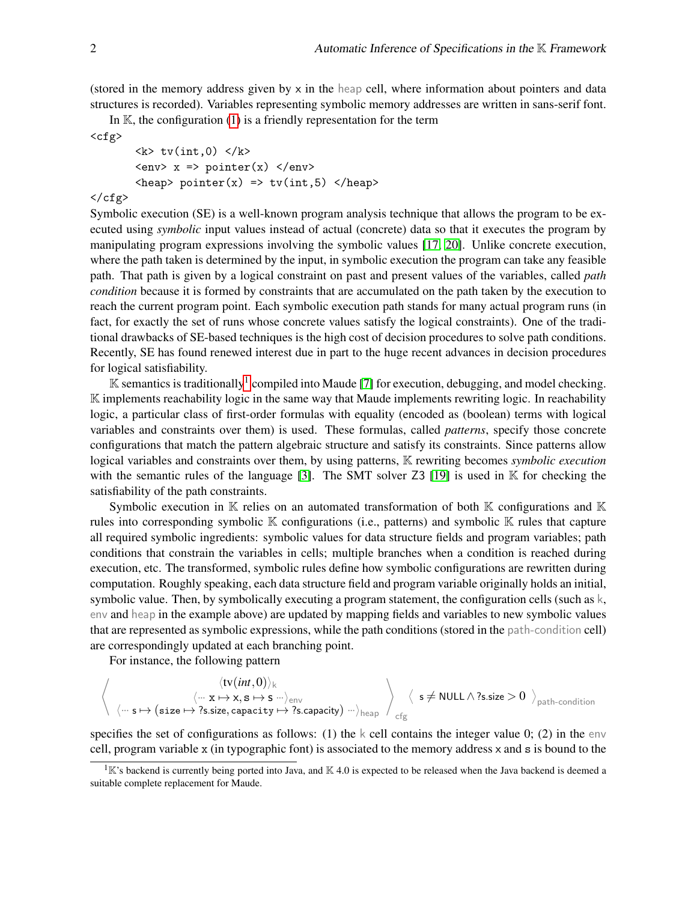(stored in the memory address given by  $x$  in the heap cell, where information about pointers and data structures is recorded). Variables representing symbolic memory addresses are written in sans-serif font.

In  $\mathbb{K}$ , the configuration [\(1\)](#page-0-0) is a friendly representation for the term  $<$ cfg>

```
\langle k \rangle tv(int,0) \langle k \rangle\langle env \rangle x => pointer(x) \langle env \rangle\langleheap> pointer(x) => tv(int,5) \langleheap>
```
#### $\langle$  cfg>

Symbolic execution (SE) is a well-known program analysis technique that allows the program to be executed using *symbolic* input values instead of actual (concrete) data so that it executes the program by manipulating program expressions involving the symbolic values [\[17,](#page-16-3) [20\]](#page-16-4). Unlike concrete execution, where the path taken is determined by the input, in symbolic execution the program can take any feasible path. That path is given by a logical constraint on past and present values of the variables, called *path condition* because it is formed by constraints that are accumulated on the path taken by the execution to reach the current program point. Each symbolic execution path stands for many actual program runs (in fact, for exactly the set of runs whose concrete values satisfy the logical constraints). One of the traditional drawbacks of SE-based techniques is the high cost of decision procedures to solve path conditions. Recently, SE has found renewed interest due in part to the huge recent advances in decision procedures for logical satisfiability.

 $\mathbb K$  semantics is traditionally<sup>[1](#page-1-0)</sup> compiled into Maude [\[7\]](#page-15-1) for execution, debugging, and model checking. K implements reachability logic in the same way that Maude implements rewriting logic. In reachability logic, a particular class of first-order formulas with equality (encoded as (boolean) terms with logical variables and constraints over them) is used. These formulas, called *patterns*, specify those concrete configurations that match the pattern algebraic structure and satisfy its constraints. Since patterns allow logical variables and constraints over them, by using patterns, K rewriting becomes *symbolic execution* with the semantic rules of the language [\[3\]](#page-15-2). The SMT solver  $Z3$  [\[19\]](#page-16-5) is used in K for checking the satisfiability of the path constraints.

Symbolic execution in  $\mathbb K$  relies on an automated transformation of both  $\mathbb K$  configurations and  $\mathbb K$ rules into corresponding symbolic K configurations (i.e., patterns) and symbolic K rules that capture all required symbolic ingredients: symbolic values for data structure fields and program variables; path conditions that constrain the variables in cells; multiple branches when a condition is reached during execution, etc. The transformed, symbolic rules define how symbolic configurations are rewritten during computation. Roughly speaking, each data structure field and program variable originally holds an initial, symbolic value. Then, by symbolically executing a program statement, the configuration cells (such as k, env and heap in the example above) are updated by mapping fields and variables to new symbolic values that are represented as symbolic expressions, while the path conditions (stored in the path-condition cell) are correspondingly updated at each branching point.

For instance, the following pattern

$$
\left\langle \begin{array}{c} \langle tv(int,0)\rangle_k \\ \langle \text{`` }x \mapsto x,s \mapsto s \text{ ``}\rangle_{\text{env}} \\ \langle \text{`` }s \mapsto (size \mapsto ?s.size, capacity \mapsto ?s.\text{capacity}) \text{ ``}\rangle_{\text{heap}} \end{array} \right\rangle_{\text{cfg}} \left\langle \begin{array}{c} s \neq \text{NULL} \wedge ?s.size > 0 \end{array} \right\rangle_{\text{path-condition}}
$$

specifies the set of configurations as follows: (1) the k cell contains the integer value 0; (2) in the env cell, program variable x (in typographic font) is associated to the memory address x and s is bound to the

<span id="page-1-0"></span> ${}^{1}$ K's backend is currently being ported into Java, and K 4.0 is expected to be released when the Java backend is deemed a suitable complete replacement for Maude.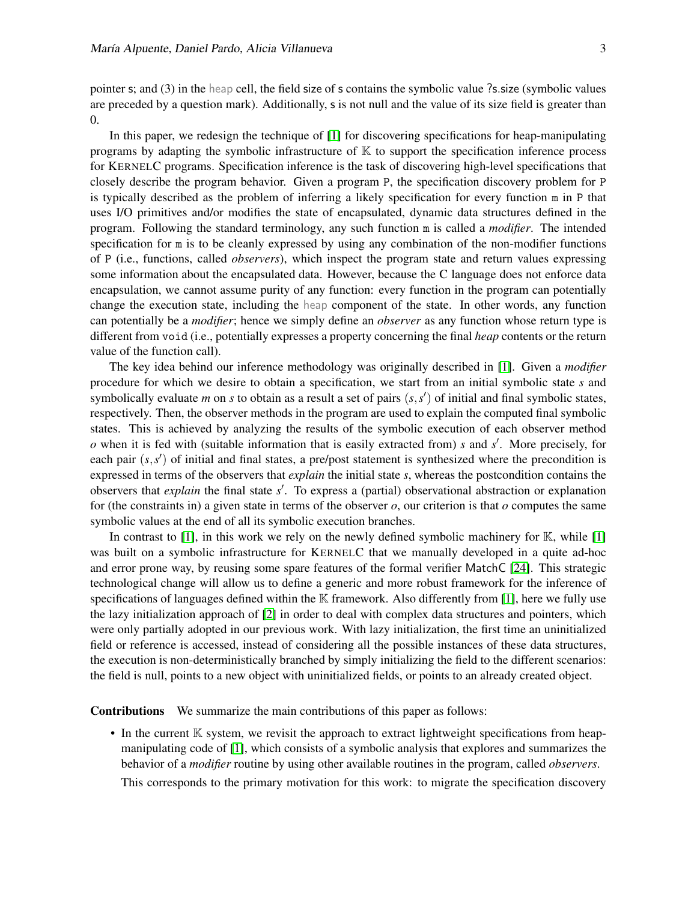pointer s; and (3) in the heap cell, the field size of s contains the symbolic value ?s.size (symbolic values are preceded by a question mark). Additionally, s is not null and the value of its size field is greater than 0.

In this paper, we redesign the technique of [\[1\]](#page-15-3) for discovering specifications for heap-manipulating programs by adapting the symbolic infrastructure of  $\mathbb K$  to support the specification inference process for KERNELC programs. Specification inference is the task of discovering high-level specifications that closely describe the program behavior. Given a program P, the specification discovery problem for P is typically described as the problem of inferring a likely specification for every function m in P that uses I/O primitives and/or modifies the state of encapsulated, dynamic data structures defined in the program. Following the standard terminology, any such function m is called a *modifier*. The intended specification for m is to be cleanly expressed by using any combination of the non-modifier functions of P (i.e., functions, called *observers*), which inspect the program state and return values expressing some information about the encapsulated data. However, because the C language does not enforce data encapsulation, we cannot assume purity of any function: every function in the program can potentially change the execution state, including the heap component of the state. In other words, any function can potentially be a *modifier*; hence we simply define an *observer* as any function whose return type is different from void (i.e., potentially expresses a property concerning the final *heap* contents or the return value of the function call).

The key idea behind our inference methodology was originally described in [\[1\]](#page-15-3). Given a *modifier* procedure for which we desire to obtain a specification, we start from an initial symbolic state *s* and symbolically evaluate *m* on *s* to obtain as a result a set of pairs  $(s, s')$  of initial and final symbolic states, respectively. Then, the observer methods in the program are used to explain the computed final symbolic states. This is achieved by analyzing the results of the symbolic execution of each observer method *o* when it is fed with (suitable information that is easily extracted from) *s* and *s* 0 . More precisely, for each pair  $(s, s')$  of initial and final states, a pre/post statement is synthesized where the precondition is expressed in terms of the observers that *explain* the initial state *s*, whereas the postcondition contains the observers that *explain* the final state *s'*. To express a (partial) observational abstraction or explanation for (the constraints in) a given state in terms of the observer *o*, our criterion is that *o* computes the same symbolic values at the end of all its symbolic execution branches.

In contrast to  $[1]$ , in this work we rely on the newly defined symbolic machinery for  $K$ , while  $[1]$ was built on a symbolic infrastructure for KERNELC that we manually developed in a quite ad-hoc and error prone way, by reusing some spare features of the formal verifier MatchC [\[24\]](#page-16-6). This strategic technological change will allow us to define a generic and more robust framework for the inference of specifications of languages defined within the  $\mathbb K$  framework. Also differently from [\[1\]](#page-15-3), here we fully use the lazy initialization approach of [\[2\]](#page-15-4) in order to deal with complex data structures and pointers, which were only partially adopted in our previous work. With lazy initialization, the first time an uninitialized field or reference is accessed, instead of considering all the possible instances of these data structures, the execution is non-deterministically branched by simply initializing the field to the different scenarios: the field is null, points to a new object with uninitialized fields, or points to an already created object.

Contributions We summarize the main contributions of this paper as follows:

• In the current  $\mathbb K$  system, we revisit the approach to extract lightweight specifications from heapmanipulating code of [\[1\]](#page-15-3), which consists of a symbolic analysis that explores and summarizes the behavior of a *modifier* routine by using other available routines in the program, called *observers*.

This corresponds to the primary motivation for this work: to migrate the specification discovery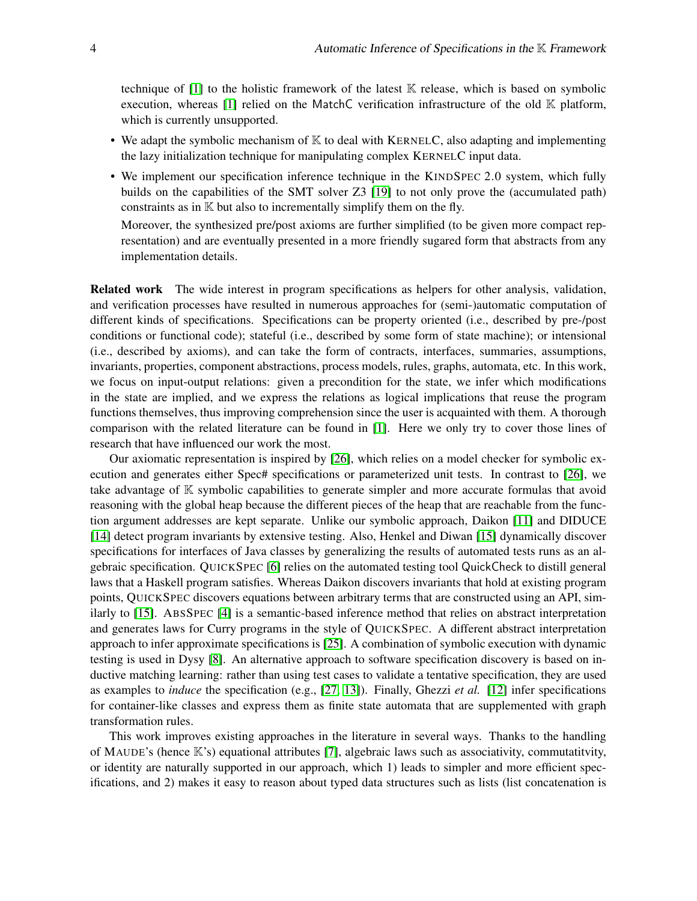technique of  $[1]$  to the holistic framework of the latest  $\mathbb K$  release, which is based on symbolic execution, whereas [\[1\]](#page-15-3) relied on the MatchC verification infrastructure of the old  $\mathbb K$  platform, which is currently unsupported.

- We adapt the symbolic mechanism of  $\mathbb K$  to deal with KERNELC, also adapting and implementing the lazy initialization technique for manipulating complex KERNELC input data.
- We implement our specification inference technique in the KINDSPEC 2.0 system, which fully builds on the capabilities of the SMT solver Z3 [\[19\]](#page-16-5) to not only prove the (accumulated path) constraints as in  $K$  but also to incrementally simplify them on the fly.

Moreover, the synthesized pre/post axioms are further simplified (to be given more compact representation) and are eventually presented in a more friendly sugared form that abstracts from any implementation details.

Related work The wide interest in program specifications as helpers for other analysis, validation, and verification processes have resulted in numerous approaches for (semi-)automatic computation of different kinds of specifications. Specifications can be property oriented (i.e., described by pre-/post conditions or functional code); stateful (i.e., described by some form of state machine); or intensional (i.e., described by axioms), and can take the form of contracts, interfaces, summaries, assumptions, invariants, properties, component abstractions, process models, rules, graphs, automata, etc. In this work, we focus on input-output relations: given a precondition for the state, we infer which modifications in the state are implied, and we express the relations as logical implications that reuse the program functions themselves, thus improving comprehension since the user is acquainted with them. A thorough comparison with the related literature can be found in [\[1\]](#page-15-3). Here we only try to cover those lines of research that have influenced our work the most.

Our axiomatic representation is inspired by [\[26\]](#page-16-7), which relies on a model checker for symbolic execution and generates either Spec# specifications or parameterized unit tests. In contrast to [\[26\]](#page-16-7), we take advantage of K symbolic capabilities to generate simpler and more accurate formulas that avoid reasoning with the global heap because the different pieces of the heap that are reachable from the function argument addresses are kept separate. Unlike our symbolic approach, Daikon [\[11\]](#page-15-5) and DIDUCE [\[14\]](#page-16-8) detect program invariants by extensive testing. Also, Henkel and Diwan [\[15\]](#page-16-9) dynamically discover specifications for interfaces of Java classes by generalizing the results of automated tests runs as an algebraic specification. QUICKSPEC [\[6\]](#page-15-6) relies on the automated testing tool QuickCheck to distill general laws that a Haskell program satisfies. Whereas Daikon discovers invariants that hold at existing program points, QUICKSPEC discovers equations between arbitrary terms that are constructed using an API, similarly to [\[15\]](#page-16-9). ABSSPEC [\[4\]](#page-15-7) is a semantic-based inference method that relies on abstract interpretation and generates laws for Curry programs in the style of QUICKSPEC. A different abstract interpretation approach to infer approximate specifications is [\[25\]](#page-16-10). A combination of symbolic execution with dynamic testing is used in Dysy [\[8\]](#page-15-8). An alternative approach to software specification discovery is based on inductive matching learning: rather than using test cases to validate a tentative specification, they are used as examples to *induce* the specification (e.g., [\[27,](#page-16-11) [13\]](#page-16-12)). Finally, Ghezzi *et al.* [\[12\]](#page-16-13) infer specifications for container-like classes and express them as finite state automata that are supplemented with graph transformation rules.

This work improves existing approaches in the literature in several ways. Thanks to the handling of MAUDE's (hence  $\mathbb{K}$ 's) equational attributes [\[7\]](#page-15-1), algebraic laws such as associativity, commutatitvity, or identity are naturally supported in our approach, which 1) leads to simpler and more efficient specifications, and 2) makes it easy to reason about typed data structures such as lists (list concatenation is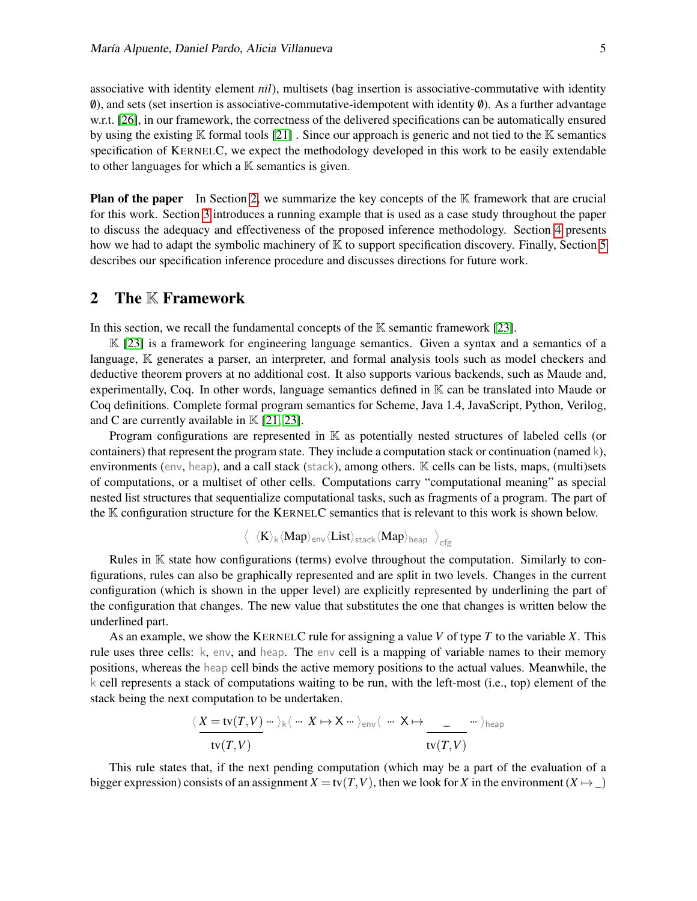associative with identity element *nil*), multisets (bag insertion is associative-commutative with identity  $\emptyset$ ), and sets (set insertion is associative-commutative-idempotent with identity  $\emptyset$ ). As a further advantage w.r.t. [\[26\]](#page-16-7), in our framework, the correctness of the delivered specifications can be automatically ensured by using the existing  $\mathbb K$  formal tools [\[21\]](#page-16-2). Since our approach is generic and not tied to the  $\mathbb K$  semantics specification of KERNELC, we expect the methodology developed in this work to be easily extendable to other languages for which a  $K$  semantics is given.

**Plan of the paper** In Section [2,](#page-4-0) we summarize the key concepts of the  $K$  framework that are crucial for this work. Section [3](#page-5-0) introduces a running example that is used as a case study throughout the paper to discuss the adequacy and effectiveness of the proposed inference methodology. Section [4](#page-8-0) presents how we had to adapt the symbolic machinery of  $\mathbb K$  to support specification discovery. Finally, Section [5](#page-10-0) describes our specification inference procedure and discusses directions for future work.

### <span id="page-4-0"></span>2 The K Framework

In this section, we recall the fundamental concepts of the  $K$  semantic framework [\[23\]](#page-16-14).

 $\mathbb{K}$  [\[23\]](#page-16-14) is a framework for engineering language semantics. Given a syntax and a semantics of a language, K generates a parser, an interpreter, and formal analysis tools such as model checkers and deductive theorem provers at no additional cost. It also supports various backends, such as Maude and, experimentally, Coq. In other words, language semantics defined in K can be translated into Maude or Coq definitions. Complete formal program semantics for Scheme, Java 1.4, JavaScript, Python, Verilog, and C are currently available in  $K$  [\[21,](#page-16-2) [23\]](#page-16-14).

Program configurations are represented in K as potentially nested structures of labeled cells (or containers) that represent the program state. They include a computation stack or continuation (named  $k$ ), environments (env, heap), and a call stack (stack), among others. K cells can be lists, maps, (multi)sets of computations, or a multiset of other cells. Computations carry "computational meaning" as special nested list structures that sequentialize computational tasks, such as fragments of a program. The part of the K configuration structure for the KERNELC semantics that is relevant to this work is shown below.

$$
\left\langle \begin{array}{l} \langle K\rangle_{\rm k}\langle Map\rangle_{\rm env}\langle List\rangle_{\rm stack}\langle Map\rangle_{\rm heap} \end{array} \right\rangle_{\rm cfg}
$$

Rules in K state how configurations (terms) evolve throughout the computation. Similarly to configurations, rules can also be graphically represented and are split in two levels. Changes in the current configuration (which is shown in the upper level) are explicitly represented by underlining the part of the configuration that changes. The new value that substitutes the one that changes is written below the underlined part.

As an example, we show the KERNELC rule for assigning a value *V* of type *T* to the variable *X*. This rule uses three cells: k, env, and heap. The env cell is a mapping of variable names to their memory positions, whereas the heap cell binds the active memory positions to the actual values. Meanwhile, the k cell represents a stack of computations waiting to be run, with the left-most (i.e., top) element of the stack being the next computation to be undertaken.

$$
\frac{\langle X = \text{tv}(T, V) \cdots \rangle_{\mathsf{k}} \langle \cdots X \mapsto X \cdots \rangle_{\text{env}} \langle \cdots X \mapsto \frac{\ }{\text{tv}(T, V)} \cdots \rangle_{\text{heap}}
$$

This rule states that, if the next pending computation (which may be a part of the evaluation of a bigger expression) consists of an assignment  $X = \text{tv}(T, V)$ , then we look for *X* in the environment  $(X \mapsto \_)$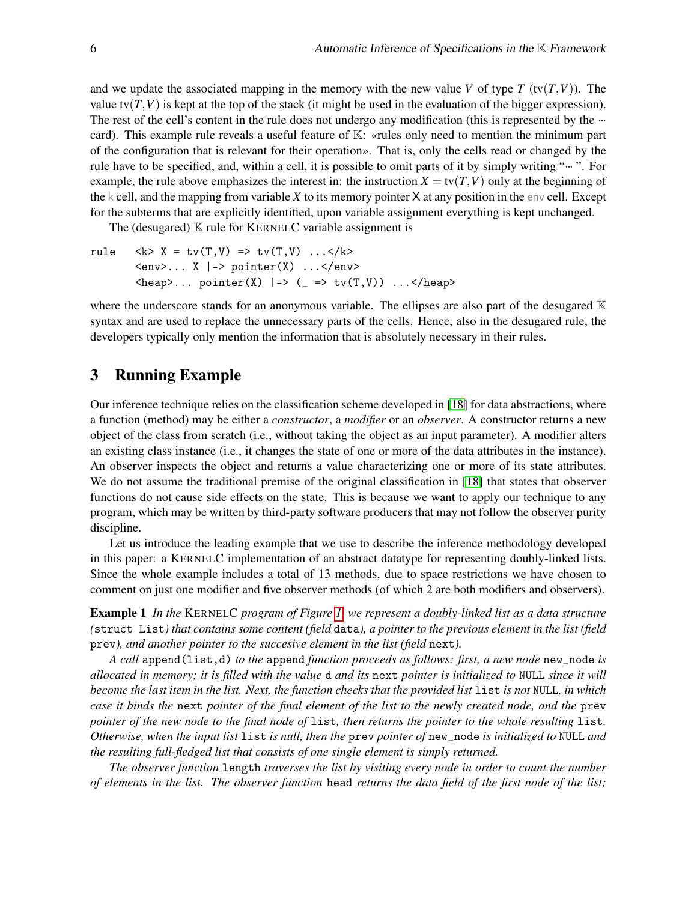and we update the associated mapping in the memory with the new value *V* of type *T* (tv(*T*,*V*)). The value tv $(T, V)$  is kept at the top of the stack (it might be used in the evaluation of the bigger expression). The rest of the cell's content in the rule does not undergo any modification (this is represented by the  $\cdot\cdot\cdot$ card). This example rule reveals a useful feature of K: «rules only need to mention the minimum part of the configuration that is relevant for their operation». That is, only the cells read or changed by the rule have to be specified, and, within a cell, it is possible to omit parts of it by simply writing " $\cdots$ ". For example, the rule above emphasizes the interest in: the instruction  $X = \text{tv}(T, V)$  only at the beginning of the k cell, and the mapping from variable *X* to its memory pointer X at any position in the env cell. Except for the subterms that are explicitly identified, upon variable assignment everything is kept unchanged.

The (desugared)  $\mathbb K$  rule for KERNELC variable assignment is

rule <k> X = tv(T,V) => tv(T,V) ...</k> <env>... X |-> pointer(X) ...</env> <heap>... pointer(X) |-> (\_ => tv(T,V)) ...</heap>

where the underscore stands for an anonymous variable. The ellipses are also part of the desugared  $K$ syntax and are used to replace the unnecessary parts of the cells. Hence, also in the desugared rule, the developers typically only mention the information that is absolutely necessary in their rules.

### <span id="page-5-0"></span>3 Running Example

Our inference technique relies on the classification scheme developed in [\[18\]](#page-16-15) for data abstractions, where a function (method) may be either a *constructor*, a *modifier* or an *observer*. A constructor returns a new object of the class from scratch (i.e., without taking the object as an input parameter). A modifier alters an existing class instance (i.e., it changes the state of one or more of the data attributes in the instance). An observer inspects the object and returns a value characterizing one or more of its state attributes. We do not assume the traditional premise of the original classification in [\[18\]](#page-16-15) that states that observer functions do not cause side effects on the state. This is because we want to apply our technique to any program, which may be written by third-party software producers that may not follow the observer purity discipline.

Let us introduce the leading example that we use to describe the inference methodology developed in this paper: a KERNELC implementation of an abstract datatype for representing doubly-linked lists. Since the whole example includes a total of 13 methods, due to space restrictions we have chosen to comment on just one modifier and five observer methods (of which 2 are both modifiers and observers).

<span id="page-5-1"></span>Example 1 *In the* KERNELC *program of Figure [1,](#page-6-0) we represent a doubly-linked list as a data structure (*struct List*) that contains some content (field* data*), a pointer to the previous element in the list (field* prev*), and another pointer to the succesive element in the list (field* next*).*

*A call* append(list,d) *to the* append *function proceeds as follows: first, a new node* new\_node *is allocated in memory; it is filled with the value* d *and its* next *pointer is initialized to* NULL *since it will become the last item in the list. Next, the function checks that the provided list* list *is not* NULL*, in which case it binds the* next *pointer of the final element of the list to the newly created node, and the* prev *pointer of the new node to the final node of* list*, then returns the pointer to the whole resulting* list*. Otherwise, when the input list* list *is null, then the* prev *pointer of* new\_node *is initialized to* NULL *and the resulting full-fledged list that consists of one single element is simply returned.*

*The observer function* length *traverses the list by visiting every node in order to count the number of elements in the list. The observer function* head *returns the data field of the first node of the list;*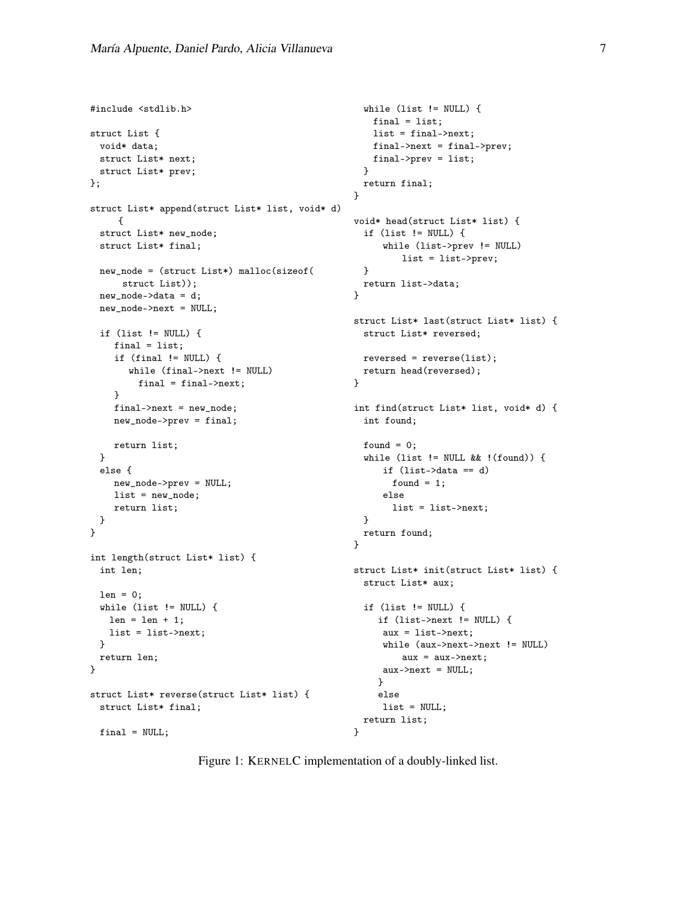```
#include <stdlib.h>
struct List {
 void* data;
 struct List* next;
 struct List* prev;
};
struct List* append(struct List* list, void* d)
     {
 struct List* new_node;
 struct List* final;
 new_node = (struct List*) malloc(sizeof(
     struct List));
 new_node->data = d;
 new_node->next = NULL;
 if (list != NULL) {
    final = list;if (final != NULL) {
       while (final->next != NULL)
         final = final->next;
    }
    final->next = new_node;
    new_node->prev = final;
    return list;
 }
 else {
    new_node->prev = NULL;
    list = new_node;
    return list;
 }
}
int length(struct List* list) {
 int len;
 len = 0;while (list != NULL) {
   len = len + 1;list = list->next;
 }
 return len;
}
struct List* reverse(struct List* list) {
 struct List* final;
 final = NULL;while (list != NULL) {
                                                    final = list;list = final->next;
                                                    final->next = final->prev;
                                                    final->prev = list;
                                                   }
                                                  return final;
                                                 }
                                                 void* head(struct List* list) {
                                                   if (list != NULL) {
                                                       while (list->prev != NULL)
                                                          list = list->prev;
                                                   }
                                                  return list->data;
                                                 }
                                                 struct List* last(struct List* list) {
                                                  struct List* reversed;
                                                 reversed = reverse(list);
                                                  return head(reversed);
                                                 }
                                                int find(struct List* list, void* d) {
                                                   int found;
                                                   found = 0;
                                                   while (list != NULL && !(found)) {
                                                      if (list->data == d)
                                                        found = 1;
                                                      else
                                                        list = list->next;
                                                   }
                                                   return found;
                                                 }
                                                 struct List* init(struct List* list) {
                                                   struct List* aux;
                                                   if (list != NULL) {
                                                     if (list->next != NULL) {
                                                      aux = list->next;
                                                      while (aux->next->next != NULL)
                                                          aux = aux->next;aux->next = NULL;
                                                     }
                                                     else
                                                      list = NULL;
                                                   return list;
                                                 }
```
<span id="page-6-0"></span>Figure 1: KERNELC implementation of a doubly-linked list.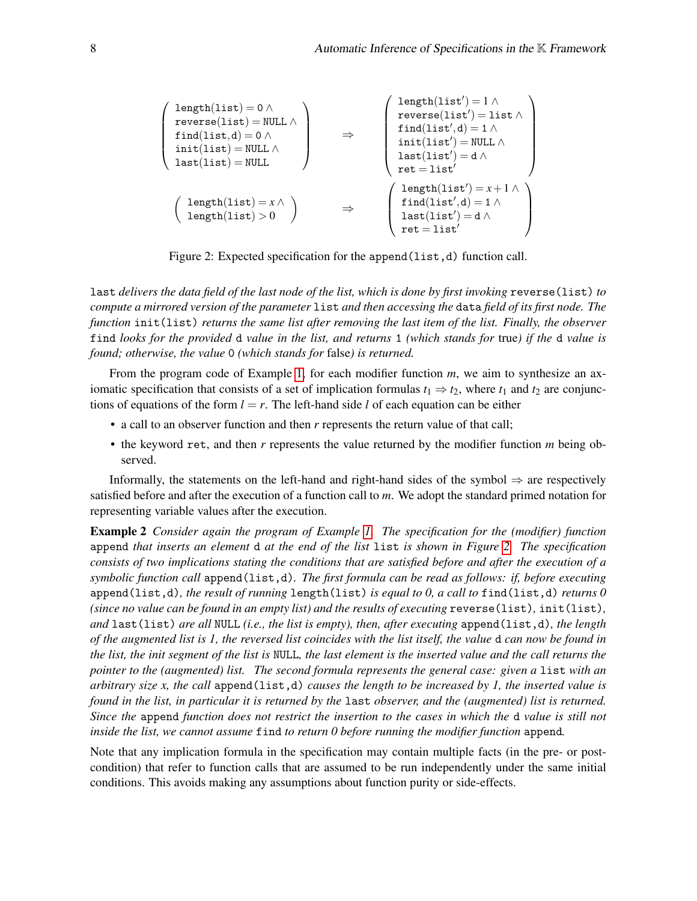$$
\left(\begin{array}{l} \text{length}(\text{list})=0 \,\wedge \, \\ \text{reverse}(\text{list})=\text{NULL} \,\wedge \\ \text{init}(\text{list},d)=0 \,\wedge \\ \text{init}(\text{list})=\text{NULL} \,\wedge \\ \text{last}(\text{list})=\text{NULL} \,\wedge \\ \text{last}(\text{list'})=\text{NULL} \,\wedge \\ \text{length}(\text{list})>0 \,\, \end{array}\right) \qquad \Rightarrow \qquad \left(\begin{array}{l} \text{length}(\text{list'})=1 \,\wedge \\ \text{find}(\text{list'},d)=1 \,\wedge \\ \text{init}(\text{list'})=\text{d} \,\wedge \\ \text{test}=\text{list'} \,\wedge \\ \text{test}=\text{list'} \,\wedge \text{list'})=\text{d} \,\wedge \\ \text{net}=\text{list'} \end{array}\right)
$$

Figure 2: Expected specification for the append (list,d) function call.

<span id="page-7-0"></span>last *delivers the data field of the last node of the list, which is done by first invoking* reverse(list) *to compute a mirrored version of the parameter* list *and then accessing the* data *field of its first node. The function* init(list) *returns the same list after removing the last item of the list. Finally, the observer* find *looks for the provided* d *value in the list, and returns* 1 *(which stands for* true*) if the* d *value is found; otherwise, the value* 0 *(which stands for* false*) is returned.*

From the program code of Example [1,](#page-5-1) for each modifier function *m*, we aim to synthesize an axiomatic specification that consists of a set of implication formulas  $t_1 \Rightarrow t_2$ , where  $t_1$  and  $t_2$  are conjunctions of equations of the form  $l = r$ . The left-hand side l of each equation can be either

- a call to an observer function and then *r* represents the return value of that call;
- the keyword ret, and then *r* represents the value returned by the modifier function *m* being observed.

Informally, the statements on the left-hand and right-hand sides of the symbol  $\Rightarrow$  are respectively satisfied before and after the execution of a function call to *m*. We adopt the standard primed notation for representing variable values after the execution.

<span id="page-7-1"></span>Example 2 *Consider again the program of Example [1.](#page-5-1) The specification for the (modifier) function* append *that inserts an element* d *at the end of the list* list *is shown in Figure [2.](#page-7-0) The specification consists of two implications stating the conditions that are satisfied before and after the execution of a symbolic function call* append(list,d)*. The first formula can be read as follows: if, before executing* append(list,d)*, the result of running* length(list) *is equal to 0, a call to* find(list,d) *returns 0 (since no value can be found in an empty list) and the results of executing* reverse(list)*,* init(list)*, and* last(list) *are all* NULL *(i.e., the list is empty), then, after executing* append(list,d)*, the length of the augmented list is 1, the reversed list coincides with the list itself, the value* d *can now be found in the list, the init segment of the list is* NULL*, the last element is the inserted value and the call returns the pointer to the (augmented) list. The second formula represents the general case: given a list with an arbitrary size x, the call* append(list,d) *causes the length to be increased by 1, the inserted value is found in the list, in particular it is returned by the* last *observer, and the (augmented) list is returned. Since the* append *function does not restrict the insertion to the cases in which the* d *value is still not inside the list, we cannot assume* find *to return 0 before running the modifier function* append*.*

Note that any implication formula in the specification may contain multiple facts (in the pre- or postcondition) that refer to function calls that are assumed to be run independently under the same initial conditions. This avoids making any assumptions about function purity or side-effects.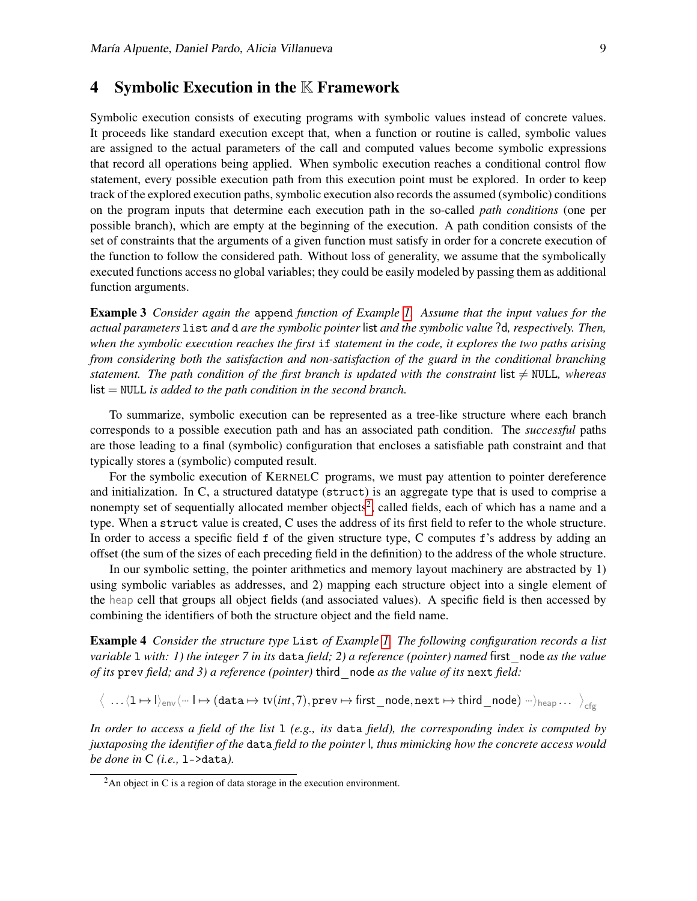#### <span id="page-8-0"></span>4 Symbolic Execution in the  $K$  Framework

Symbolic execution consists of executing programs with symbolic values instead of concrete values. It proceeds like standard execution except that, when a function or routine is called, symbolic values are assigned to the actual parameters of the call and computed values become symbolic expressions that record all operations being applied. When symbolic execution reaches a conditional control flow statement, every possible execution path from this execution point must be explored. In order to keep track of the explored execution paths, symbolic execution also records the assumed (symbolic) conditions on the program inputs that determine each execution path in the so-called *path conditions* (one per possible branch), which are empty at the beginning of the execution. A path condition consists of the set of constraints that the arguments of a given function must satisfy in order for a concrete execution of the function to follow the considered path. Without loss of generality, we assume that the symbolically executed functions access no global variables; they could be easily modeled by passing them as additional function arguments.

<span id="page-8-2"></span>Example 3 *Consider again the* append *function of Example [1.](#page-5-1) Assume that the input values for the actual parameters* list *and* d *are the symbolic pointer* list *and the symbolic value* ?d*, respectively. Then, when the symbolic execution reaches the first* if *statement in the code, it explores the two paths arising from considering both the satisfaction and non-satisfaction of the guard in the conditional branching statement. The path condition of the first branch is updated with the constraint* list  $\neq$  NULL, whereas list = NULL *is added to the path condition in the second branch.*

To summarize, symbolic execution can be represented as a tree-like structure where each branch corresponds to a possible execution path and has an associated path condition. The *successful* paths are those leading to a final (symbolic) configuration that encloses a satisfiable path constraint and that typically stores a (symbolic) computed result.

For the symbolic execution of KERNELC programs, we must pay attention to pointer dereference and initialization. In C, a structured datatype (struct) is an aggregate type that is used to comprise a nonempty set of sequentially allocated member objects<sup>[2](#page-8-1)</sup>, called fields, each of which has a name and a type. When a struct value is created, C uses the address of its first field to refer to the whole structure. In order to access a specific field f of the given structure type, C computes f's address by adding an offset (the sum of the sizes of each preceding field in the definition) to the address of the whole structure.

In our symbolic setting, the pointer arithmetics and memory layout machinery are abstracted by 1) using symbolic variables as addresses, and 2) mapping each structure object into a single element of the heap cell that groups all object fields (and associated values). A specific field is then accessed by combining the identifiers of both the structure object and the field name.

Example 4 *Consider the structure type* List *of Example [1.](#page-5-1) The following configuration records a list variable* l *with: 1) the integer 7 in its* data *field; 2) a reference (pointer) named* first\_node *as the value of its* prev *field; and 3) a reference (pointer)* third\_node *as the value of its* next *field:*

 $\big\langle\,\,...\,\langle 1\mapsto l\rangle_\text{env}\langle$ ···  $l\mapsto (\texttt{data}\mapsto \texttt{tv}(int,7),\texttt{prev}\mapsto \texttt{first\_node},\texttt{next}\mapsto \texttt{third\_node})\,\, ...\,\big\rangle_\texttt{cfg}\dots\,\big\rangle_\texttt{cfg}$ 

*In order to access a field of the list* l *(e.g., its* data *field), the corresponding index is computed by juxtaposing the identifier of the* data *field to the pointer* l*, thus mimicking how the concrete access would be done in* C *(i.e.,* l->data*).*

<span id="page-8-1"></span> $2$ An object in C is a region of data storage in the execution environment.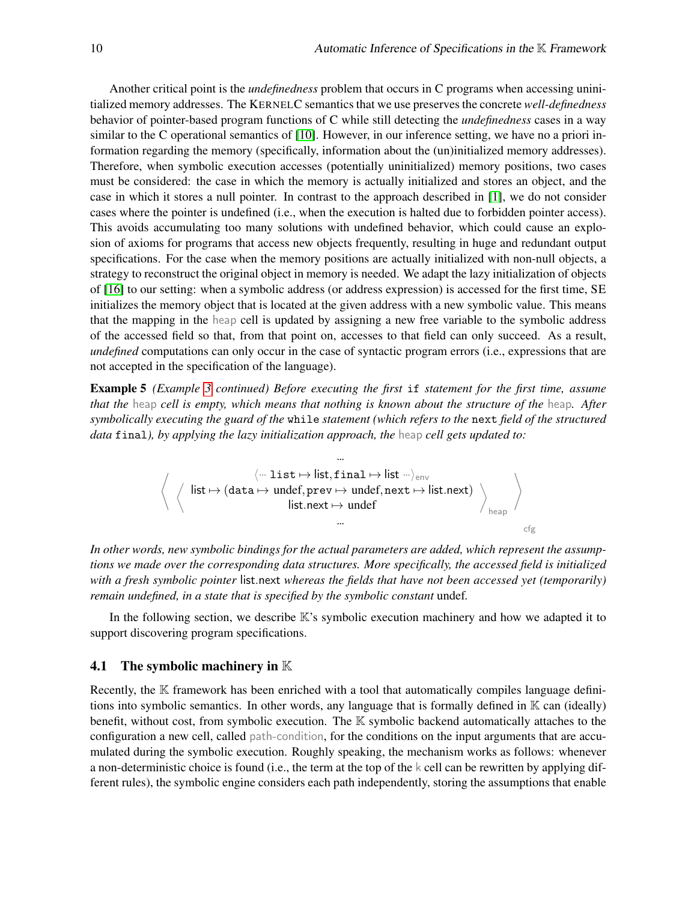Another critical point is the *undefinedness* problem that occurs in C programs when accessing uninitialized memory addresses. The KERNELC semantics that we use preserves the concrete *well-definedness* behavior of pointer-based program functions of C while still detecting the *undefinedness* cases in a way similar to the C operational semantics of [\[10\]](#page-15-9). However, in our inference setting, we have no a priori information regarding the memory (specifically, information about the (un)initialized memory addresses). Therefore, when symbolic execution accesses (potentially uninitialized) memory positions, two cases must be considered: the case in which the memory is actually initialized and stores an object, and the case in which it stores a null pointer. In contrast to the approach described in [\[1\]](#page-15-3), we do not consider cases where the pointer is undefined (i.e., when the execution is halted due to forbidden pointer access). This avoids accumulating too many solutions with undefined behavior, which could cause an explosion of axioms for programs that access new objects frequently, resulting in huge and redundant output specifications. For the case when the memory positions are actually initialized with non-null objects, a strategy to reconstruct the original object in memory is needed. We adapt the lazy initialization of objects of [\[16\]](#page-16-16) to our setting: when a symbolic address (or address expression) is accessed for the first time, SE initializes the memory object that is located at the given address with a new symbolic value. This means that the mapping in the heap cell is updated by assigning a new free variable to the symbolic address of the accessed field so that, from that point on, accesses to that field can only succeed. As a result, *undefined* computations can only occur in the case of syntactic program errors (i.e., expressions that are not accepted in the specification of the language).

Example 5 *(Example [3](#page-8-2) continued) Before executing the first* if *statement for the first time, assume that the* heap *cell is empty, which means that nothing is known about the structure of the* heap*. After symbolically executing the guard of the* while *statement (which refers to the* next *field of the structured data* final*), by applying the lazy initialization approach, the* heap *cell gets updated to:*

$$
\left\langle\begin{array}{c}\langle\cdots\text{ list}\mapsto\text{ list},\text{ final}\mapsto\text{ list}\cdots\rangle_{\text{env}}\\\langle\phantom{a}\text{ list}\mapsto(\text{data}\mapsto\text{ under},\text{prev}\mapsto\text{ under},\text{next}\mapsto\text{ list}.\text{next})\\ \text{ list}.\text{next}\mapsto\text{ under}\\\cdots\\\end{array}\right\rangle_{\text{heap}}\right\rangle_{\text{heap}}
$$

*In other words, new symbolic bindings for the actual parameters are added, which represent the assumptions we made over the corresponding data structures. More specifically, the accessed field is initialized with a fresh symbolic pointer* list.next *whereas the fields that have not been accessed yet (temporarily) remain undefined, in a state that is specified by the symbolic constant* undef*.*

In the following section, we describe  $\mathbb{K}$ 's symbolic execution machinery and how we adapted it to support discovering program specifications.

#### **4.1** The symbolic machinery in  $\mathbb{K}$

Recently, the  $K$  framework has been enriched with a tool that automatically compiles language definitions into symbolic semantics. In other words, any language that is formally defined in  $K$  can (ideally) benefit, without cost, from symbolic execution. The K symbolic backend automatically attaches to the configuration a new cell, called path-condition, for the conditions on the input arguments that are accumulated during the symbolic execution. Roughly speaking, the mechanism works as follows: whenever a non-deterministic choice is found (i.e., the term at the top of the k cell can be rewritten by applying different rules), the symbolic engine considers each path independently, storing the assumptions that enable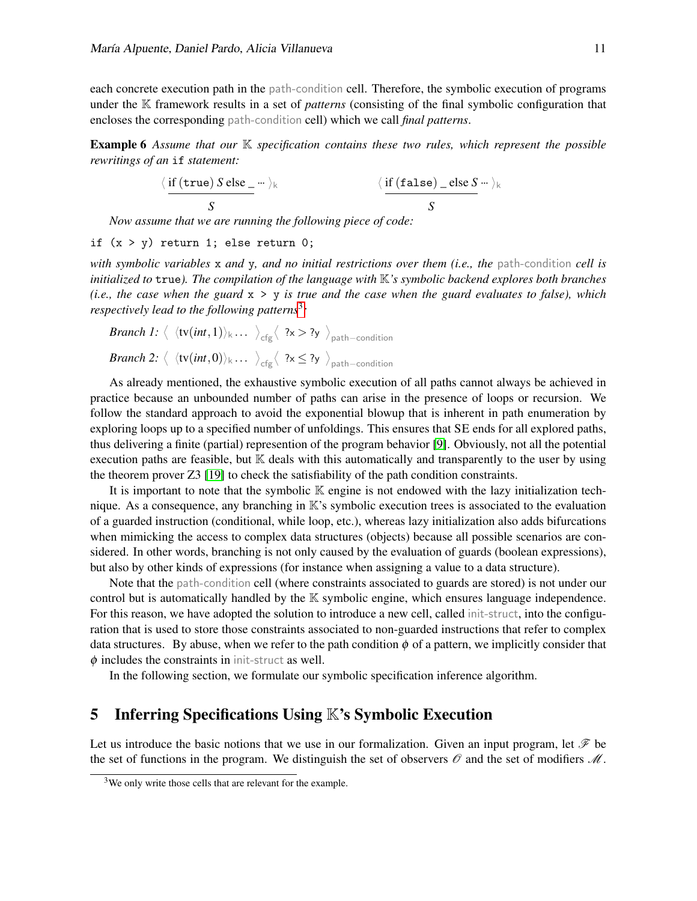each concrete execution path in the path-condition cell. Therefore, the symbolic execution of programs under the K framework results in a set of *patterns* (consisting of the final symbolic configuration that encloses the corresponding path-condition cell) which we call *final patterns*.

Example 6 *Assume that our* K *specification contains these two rules, which represent the possible rewritings of an* if *statement:*

$$
\langle \frac{\text{if (true) S else}}{S} \cdots \rangle_k \qquad \langle \frac{\text{if (false) } \text{ else } S} \cdots \rangle_k}{S}
$$

*Now assume that we are running the following piece of code:*

if  $(x > y)$  return 1; else return 0;

*with symbolic variables* x *and* y*, and no initial restrictions over them (i.e., the* path-condition *cell is initialized to* true*). The compilation of the language with* K*'s symbolic backend explores both branches (i.e., the case when the guard* x > y *is true and the case when the guard evaluates to false), which respectively lead to the following patterns*[3](#page-10-1) *:*

*Branch 1:* 
$$
\langle \langle tv(int, 1) \rangle_k \dots \rangle_{\text{cfg}} \langle ?x > ?y \rangle_{\text{path-condition}}
$$
  
*Branch 2:*  $\langle \langle tv(int, 0) \rangle_k \dots \rangle_{\text{cfg}} \langle ?x \leq ?y \rangle_{\text{path-condition}}$ 

As already mentioned, the exhaustive symbolic execution of all paths cannot always be achieved in practice because an unbounded number of paths can arise in the presence of loops or recursion. We follow the standard approach to avoid the exponential blowup that is inherent in path enumeration by exploring loops up to a specified number of unfoldings. This ensures that SE ends for all explored paths, thus delivering a finite (partial) represention of the program behavior [\[9\]](#page-15-10). Obviously, not all the potential execution paths are feasible, but  $\mathbb K$  deals with this automatically and transparently to the user by using the theorem prover Z3 [\[19\]](#page-16-5) to check the satisfiability of the path condition constraints.

It is important to note that the symbolic  $\mathbb K$  engine is not endowed with the lazy initialization technique. As a consequence, any branching in K's symbolic execution trees is associated to the evaluation of a guarded instruction (conditional, while loop, etc.), whereas lazy initialization also adds bifurcations when mimicking the access to complex data structures (objects) because all possible scenarios are considered. In other words, branching is not only caused by the evaluation of guards (boolean expressions), but also by other kinds of expressions (for instance when assigning a value to a data structure).

Note that the path-condition cell (where constraints associated to guards are stored) is not under our control but is automatically handled by the K symbolic engine, which ensures language independence. For this reason, we have adopted the solution to introduce a new cell, called init-struct, into the configuration that is used to store those constraints associated to non-guarded instructions that refer to complex data structures. By abuse, when we refer to the path condition  $\phi$  of a pattern, we implicitly consider that  $\phi$  includes the constraints in init-struct as well.

In the following section, we formulate our symbolic specification inference algorithm.

# <span id="page-10-0"></span>5 Inferring Specifications Using K's Symbolic Execution

Let us introduce the basic notions that we use in our formalization. Given an input program, let  $\mathcal F$  be the set of functions in the program. We distinguish the set of observers  $\mathcal O$  and the set of modifiers  $\mathcal M$ .

<span id="page-10-1"></span><sup>&</sup>lt;sup>3</sup>We only write those cells that are relevant for the example.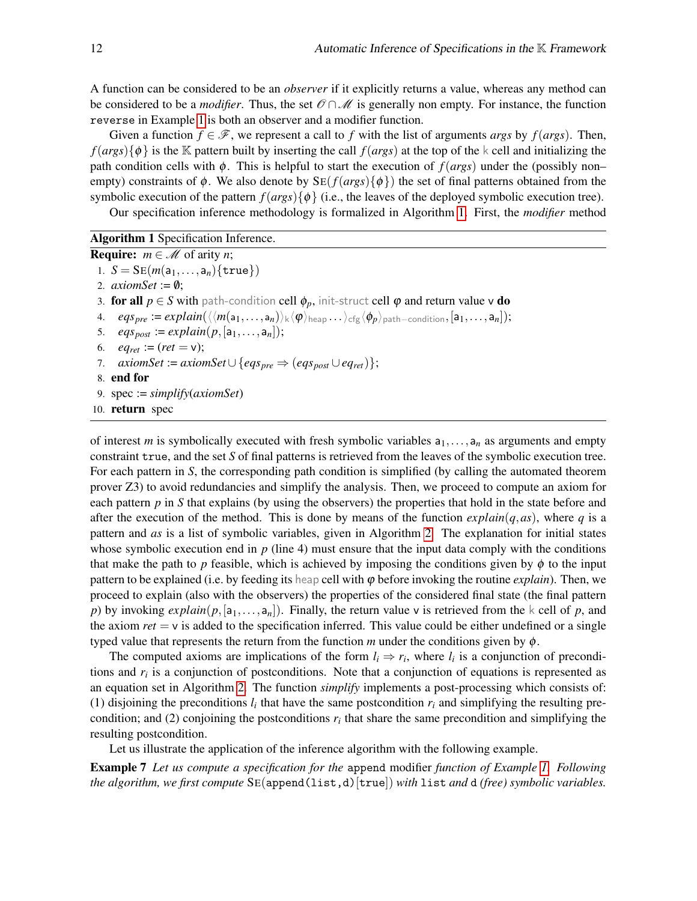A function can be considered to be an *observer* if it explicitly returns a value, whereas any method can be considered to be a *modifier*. Thus, the set  $\mathcal{O} \cap \mathcal{M}$  is generally non empty. For instance, the function reverse in Example [1](#page-5-1) is both an observer and a modifier function.

Given a function  $f \in \mathcal{F}$ , we represent a call to f with the list of arguments *args* by  $f(args)$ . Then,  $f(args){\phi}$  is the K pattern built by inserting the call  $f(args)$  at the top of the k cell and initializing the path condition cells with  $\phi$ . This is helpful to start the execution of  $f(args)$  under the (possibly non– empty) constraints of  $\phi$ . We also denote by  $SE(f(args){\phi})$  the set of final patterns obtained from the symbolic execution of the pattern  $f(args){\phi}$  (i.e., the leaves of the deployed symbolic execution tree).

Our specification inference methodology is formalized in Algorithm [1.](#page-11-0) First, the *modifier* method

Algorithm 1 Specification Inference.

**Require:**  $m \in \mathcal{M}$  of arity *n*; 1.  $S = SE(m(a_1, ..., a_n) \{true\})$ 2.  $axiomSet := \emptyset$ ; 3. for all  $p \in S$  with path-condition cell  $\phi_p$ , init-struct cell  $\phi$  and return value v do 4.  $egs_{pre} := explain(\langle\langle m(a_1,\ldots,a_n)\rangle_k\langle\phi\rangle_{\text{heap}}\ldots\rangle_{\text{cfg}}\langle\phi_p\rangle_{\text{path-condition}},[a_1,\ldots,a_n]);$ 5. *eqs<sub>post</sub>* := *explain*( $p$ ,[ $a_1$ ,..., $a_n$ ]); 6.  $eq_{ret} := (ret = v);$ 7. *axiomSet* := *axiomSet*  $\cup$  {*eqs<sub>pre</sub>*  $\Rightarrow$  (*eqs<sub>post</sub>*  $\cup$  *eq<sub>ret</sub>*)}; 8. end for 9. spec := *simplify*(*axiomSet*) 10. return spec

<span id="page-11-0"></span>of interest *m* is symbolically executed with fresh symbolic variables  $a_1, \ldots, a_n$  as arguments and empty constraint true, and the set *S* of final patterns is retrieved from the leaves of the symbolic execution tree. For each pattern in *S*, the corresponding path condition is simplified (by calling the automated theorem prover Z3) to avoid redundancies and simplify the analysis. Then, we proceed to compute an axiom for each pattern *p* in *S* that explains (by using the observers) the properties that hold in the state before and after the execution of the method. This is done by means of the function  $explain(q,as)$ , where q is a pattern and *as* is a list of symbolic variables, given in Algorithm [2.](#page-12-0) The explanation for initial states whose symbolic execution end in *p* (line 4) must ensure that the input data comply with the conditions that make the path to *p* feasible, which is achieved by imposing the conditions given by  $\phi$  to the input pattern to be explained (i.e. by feeding its heap cell with  $\varphi$  before invoking the routine *explain*). Then, we proceed to explain (also with the observers) the properties of the considered final state (the final pattern *p*) by invoking  $explain(p, [a_1, \ldots, a_n])$ . Finally, the return value v is retrieved from the k cell of *p*, and the axiom  $ret = v$  is added to the specification inferred. This value could be either undefined or a single typed value that represents the return from the function *m* under the conditions given by  $\phi$ .

The computed axioms are implications of the form  $l_i \Rightarrow r_i$ , where  $l_i$  is a conjunction of preconditions and *r<sup>i</sup>* is a conjunction of postconditions. Note that a conjunction of equations is represented as an equation set in Algorithm [2.](#page-12-0) The function *simplify* implements a post-processing which consists of: (1) disjoining the preconditions  $l_i$  that have the same postcondition  $r_i$  and simplifying the resulting precondition; and (2) conjoining the postconditions  $r_i$  that share the same precondition and simplifying the resulting postcondition.

Let us illustrate the application of the inference algorithm with the following example.

<span id="page-11-1"></span>Example 7 *Let us compute a specification for the* append modifier *function of Example [1.](#page-5-1) Following the algorithm, we first compute* SE(append(list,d)[true]) *with* list *and* d *(free) symbolic variables.*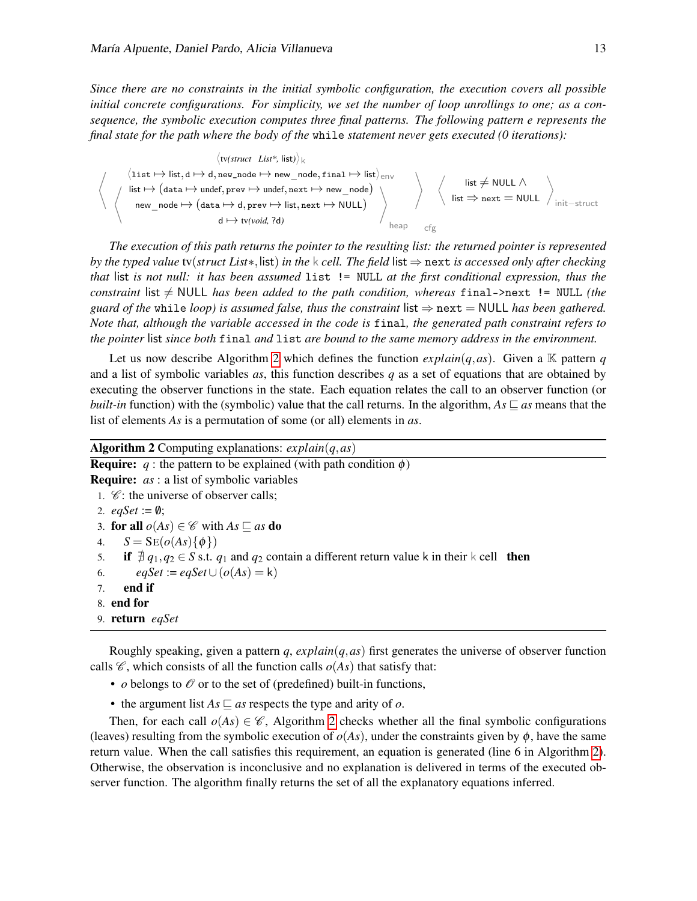*Since there are no constraints in the initial symbolic configuration, the execution covers all possible initial concrete configurations. For simplicity, we set the number of loop unrollings to one; as a consequence, the symbolic execution computes three final patterns. The following pattern e represents the final state for the path where the body of the* while *statement never gets executed (0 iterations):*

$$
\left\langle \bigvee_{\text{list } \mapsto \text{list, } d \mapsto d, \text{new\_node}}^{\text{(wstruct List*, list)}} \right\rangle_{k}
$$
\n
$$
\left\langle \bigvee_{\text{list } \mapsto (\text{data } \mapsto \text{under}, \text{prev } \mapsto \text{under}, \text{next } \mapsto \text{new\_node})}^{\text{(xstruct List*, list)}} \right\rangle_{\text{new\_node}} \right\rangle
$$
\n
$$
\left\langle \bigvee_{\text{init } \mapsto (\text{data } \mapsto d, \text{prev } \mapsto \text{list}, \text{next } \mapsto \text{NULL})}^{\text{(xstruct List, *}} \right\rangle_{\text{begin}} \text{list } \neq \text{NULL } \wedge \text{init--struct}
$$
\n
$$
d \mapsto t v (void, ?d)
$$

*The execution of this path returns the pointer to the resulting list: the returned pointer is represented by the typed value* tv(*struct List*∗,list) *in the* k *cell. The field* list ⇒ next *is accessed only after checking that* list *is not null: it has been assumed* list != NULL *at the first conditional expression, thus the constraint* list  $\neq$  NULL *has been added to the path condition, whereas* final->next != NULL *(the guard of the* while *loop*) is assumed false, thus the constraint list  $\Rightarrow$  next = NULL has been gathered. *Note that, although the variable accessed in the code is* final*, the generated path constraint refers to the pointer* list *since both* final *and* list *are bound to the same memory address in the environment.*

Let us now describe Algorithm [2](#page-12-0) which defines the function  $explain(q,as)$ . Given a K pattern *q* and a list of symbolic variables *as*, this function describes *q* as a set of equations that are obtained by executing the observer functions in the state. Each equation relates the call to an observer function (or *built-in* function) with the (symbolic) value that the call returns. In the algorithm,  $As \subseteq as$  means that the list of elements *As* is a permutation of some (or all) elements in *as*.

| <b>Algorithm 2</b> Computing explanations: $explain(q,as)$                                                     |  |
|----------------------------------------------------------------------------------------------------------------|--|
| <b>Require:</b> q : the pattern to be explained (with path condition $\phi$ )                                  |  |
| <b>Require:</b> <i>as</i> : a list of symbolic variables                                                       |  |
| 1. $\mathcal{C}$ : the universe of observer calls;                                                             |  |
| 2. $eqSet := \emptyset$ ;                                                                                      |  |
| 3. for all $o(As) \in \mathscr{C}$ with $As \sqsubseteq as$ do                                                 |  |
| 4. $S = SE(o(As) \{\phi\})$                                                                                    |  |
| 5. if $\frac{4}{5}q_1, q_2 \in S$ s.t. $q_1$ and $q_2$ contain a different return value k in their k cell then |  |
| $egSet := egSet \cup (o(As) = k)$<br>6.                                                                        |  |
| end if<br>7.                                                                                                   |  |
| 8. end for                                                                                                     |  |
| 9. return egSet                                                                                                |  |
|                                                                                                                |  |

<span id="page-12-0"></span>Roughly speaking, given a pattern  $q$ ,  $explain(q,as)$  first generates the universe of observer function calls  $\mathscr{C}$ , which consists of all the function calls  $o(As)$  that satisfy that:

- *o* belongs to  $\mathcal O$  or to the set of (predefined) built-in functions,
- the argument list  $As \sqsubseteq as$  respects the type and arity of *o*.

Then, for each call  $o(As) \in \mathcal{C}$ , Algorithm [2](#page-12-0) checks whether all the final symbolic configurations (leaves) resulting from the symbolic execution of  $o(As)$ , under the constraints given by  $\phi$ , have the same return value. When the call satisfies this requirement, an equation is generated (line 6 in Algorithm [2\)](#page-12-0). Otherwise, the observation is inconclusive and no explanation is delivered in terms of the executed observer function. The algorithm finally returns the set of all the explanatory equations inferred.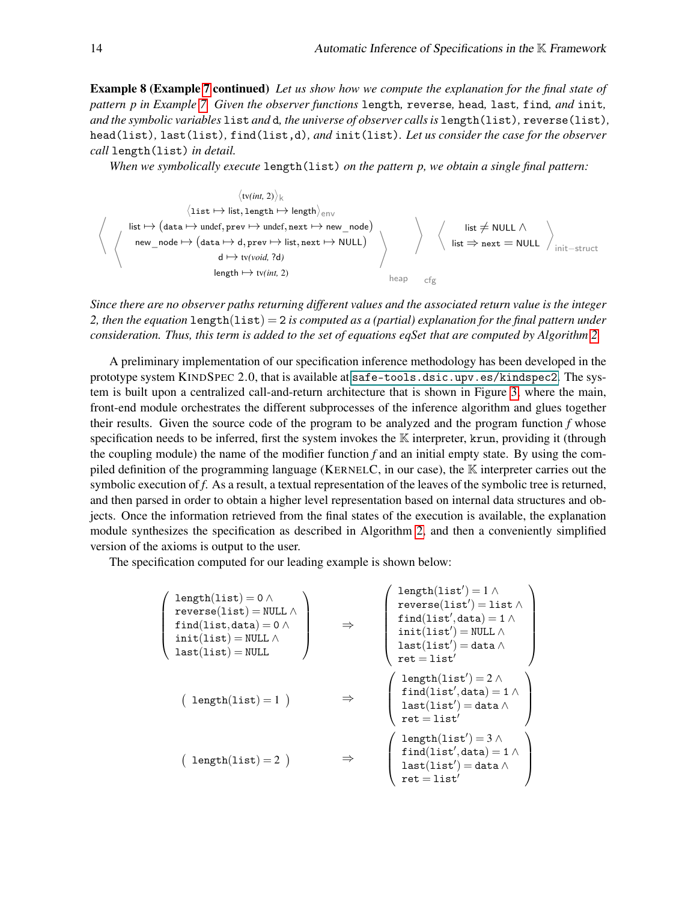Example 8 (Example [7](#page-11-1) continued) *Let us show how we compute the explanation for the final state of pattern p in Example [7.](#page-11-1) Given the observer functions* length*,* reverse*,* head*,* last*,* find*, and* init*, and the symbolic variables* list *and* d*, the universe of observer calls is* length(list)*,* reverse(list)*,* head(list)*,* last(list)*,* find(list,d)*, and* init(list)*. Let us consider the case for the observer call* length(list) *in detail.*

*When we symbolically execute* length(list) *on the pattern p, we obtain a single final pattern:*

$$
\langle \text{tv}(int, 2) \rangle_k
$$
\n
$$
\langle \text{list} \mapsto \text{list, length} \mapsto \text{length} \rangle_{env}
$$
\n
$$
\langle \text{list} \mapsto (\text{data} \mapsto \text{under}, \text{prev} \mapsto \text{under}, \text{next} \mapsto \text{new\_node})
$$
\n
$$
\langle \text{new\_node} \mapsto (\text{data} \mapsto d, \text{prev} \mapsto \text{list}, \text{next} \mapsto \text{NULL})
$$
\n
$$
\langle \text{key\_node} \mapsto (\text{data} \mapsto d, \text{prev} \mapsto \text{list}, \text{next} \mapsto \text{NULL})
$$
\n
$$
\langle \text{key\_node} \mapsto \text{tw}(mid, 2) \rangle
$$
\n
$$
\langle \text{key\_node} \mapsto \text{true} \rangle_{new\_edge}
$$
\n
$$
\langle \text{key\_node} \mapsto \text{true} \rangle_{new\_edge}
$$
\n
$$
\langle \text{key\_node} \mapsto \text{true} \rangle_{new\_edge}
$$

*Since there are no observer paths returning different values and the associated return value is the integer 2, then the equation* length(list) = 2 *is computed as a (partial) explanation for the final pattern under consideration. Thus, this term is added to the set of equations eqSet that are computed by Algorithm [2.](#page-12-0)*

A preliminary implementation of our specification inference methodology has been developed in the prototype system KINDSPEC 2.0, that is available at [safe-tools.dsic.upv.es/kindspec2](#page-0-1). The system is built upon a centralized call-and-return architecture that is shown in Figure [3,](#page-14-0) where the main, front-end module orchestrates the different subprocesses of the inference algorithm and glues together their results. Given the source code of the program to be analyzed and the program function *f* whose specification needs to be inferred, first the system invokes the  $\mathbb K$  interpreter, krun, providing it (through the coupling module) the name of the modifier function *f* and an initial empty state. By using the compiled definition of the programming language (KERNELC, in our case), the  $\mathbb K$  interpreter carries out the symbolic execution of *f*. As a result, a textual representation of the leaves of the symbolic tree is returned, and then parsed in order to obtain a higher level representation based on internal data structures and objects. Once the information retrieved from the final states of the execution is available, the explanation module synthesizes the specification as described in Algorithm [2,](#page-12-0) and then a conveniently simplified version of the axioms is output to the user.

The specification computed for our leading example is shown below:

$$
\left(\begin{array}{c}\text{length}(list) = 0 \land \\\text{reverse}(list) = \text{NULL} \land \\\text{find}(list, data) = 0 \land \\\text{init}(list) = \text{NULL} \land \\\text{last}(list) = \text{NULL} \land \\\text{last}(list') = \text{ALL} \land \\\text{test}(list') = \text{data} \land \\\text{ret} = \text{list} \land \\\text{ret} = \text{list} \land \\\text{ret} = \text{list} \land \\\text{ret} = \text{list} \land \\\text{ret} = \text{list} \land \\\text{ret} = \text{list} \land \\\text{ret} = \text{list} \land \\\text{ret} = \text{list} \land \\\text{test}(list') = \text{data} \land \\\text{ret} = \text{list} \land \\\text{test}(list') = \text{data} \land \\\text{test}(list') = \text{data} \land \\\text{test}(list') = \text{data} \land \\\text{test}(list') = \text{data} \land \\\text{ret} = \text{list} \land \\\text{ret} = \text{list} \land \\\text{ret} = \text{list} \land \\\text{ret} = \text{list} \land \\\text{det} \end{array}\right)
$$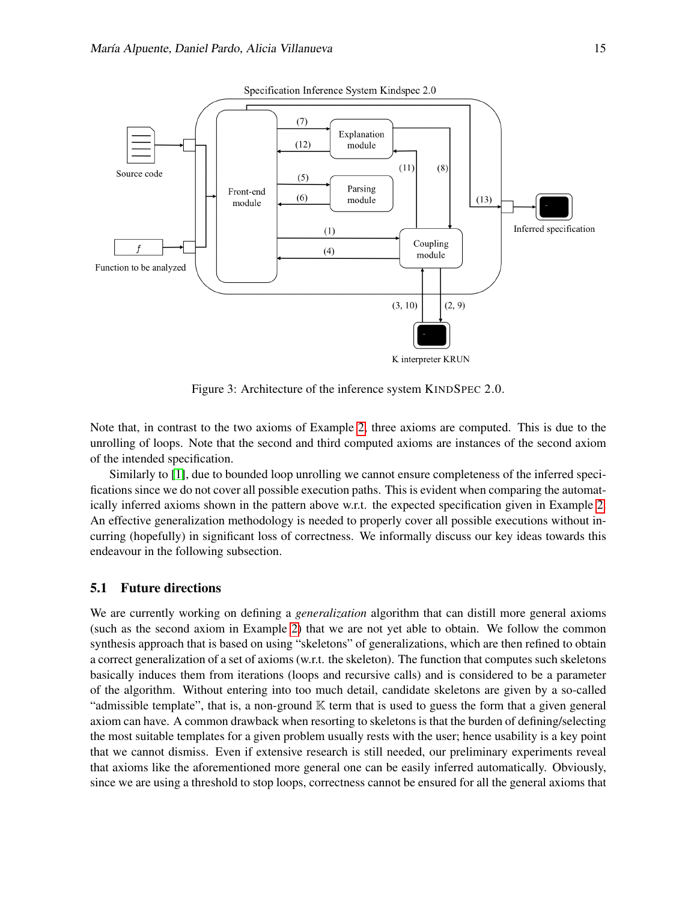

<span id="page-14-0"></span>Figure 3: Architecture of the inference system KINDSPEC 2.0.

Note that, in contrast to the two axioms of Example [2,](#page-7-1) three axioms are computed. This is due to the unrolling of loops. Note that the second and third computed axioms are instances of the second axiom of the intended specification.

Similarly to [\[1\]](#page-15-3), due to bounded loop unrolling we cannot ensure completeness of the inferred specifications since we do not cover all possible execution paths. This is evident when comparing the automatically inferred axioms shown in the pattern above w.r.t. the expected specification given in Example [2.](#page-7-1) An effective generalization methodology is needed to properly cover all possible executions without incurring (hopefully) in significant loss of correctness. We informally discuss our key ideas towards this endeavour in the following subsection.

#### 5.1 Future directions

We are currently working on defining a *generalization* algorithm that can distill more general axioms (such as the second axiom in Example [2\)](#page-7-1) that we are not yet able to obtain. We follow the common synthesis approach that is based on using "skeletons" of generalizations, which are then refined to obtain a correct generalization of a set of axioms (w.r.t. the skeleton). The function that computes such skeletons basically induces them from iterations (loops and recursive calls) and is considered to be a parameter of the algorithm. Without entering into too much detail, candidate skeletons are given by a so-called "admissible template", that is, a non-ground  $\mathbb K$  term that is used to guess the form that a given general axiom can have. A common drawback when resorting to skeletons is that the burden of defining/selecting the most suitable templates for a given problem usually rests with the user; hence usability is a key point that we cannot dismiss. Even if extensive research is still needed, our preliminary experiments reveal that axioms like the aforementioned more general one can be easily inferred automatically. Obviously, since we are using a threshold to stop loops, correctness cannot be ensured for all the general axioms that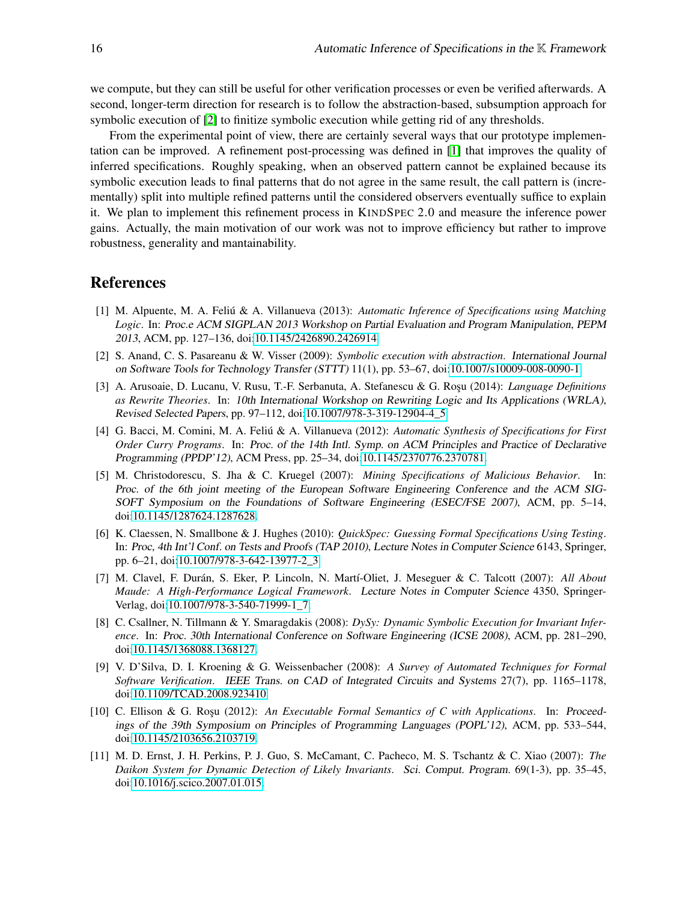we compute, but they can still be useful for other verification processes or even be verified afterwards. A second, longer-term direction for research is to follow the abstraction-based, subsumption approach for symbolic execution of [\[2\]](#page-15-4) to finitize symbolic execution while getting rid of any thresholds.

From the experimental point of view, there are certainly several ways that our prototype implementation can be improved. A refinement post-processing was defined in [\[1\]](#page-15-3) that improves the quality of inferred specifications. Roughly speaking, when an observed pattern cannot be explained because its symbolic execution leads to final patterns that do not agree in the same result, the call pattern is (incrementally) split into multiple refined patterns until the considered observers eventually suffice to explain it. We plan to implement this refinement process in KINDSPEC 2.0 and measure the inference power gains. Actually, the main motivation of our work was not to improve efficiency but rather to improve robustness, generality and mantainability.

### References

- <span id="page-15-3"></span>[1] M. Alpuente, M. A. Feliú & A. Villanueva (2013): *Automatic Inference of Specifications using Matching Logic*. In: Proc.e ACM SIGPLAN 2013 Workshop on Partial Evaluation and Program Manipulation, PEPM 2013, ACM, pp. 127–136, doi[:10.1145/2426890.2426914.](http://dx.doi.org/10.1145/2426890.2426914)
- <span id="page-15-4"></span>[2] S. Anand, C. S. Pasareanu & W. Visser (2009): *Symbolic execution with abstraction*. International Journal on Software Tools for Technology Transfer (STTT) 11(1), pp. 53–67, doi[:10.1007/s10009-008-0090-1.](http://dx.doi.org/10.1007/s10009-008-0090-1)
- <span id="page-15-2"></span>[3] A. Arusoaie, D. Lucanu, V. Rusu, T.-F. Serbanuta, A. Stefanescu & G. Rosu (2014): *Language Definitions as Rewrite Theories*. In: 10th International Workshop on Rewriting Logic and Its Applications (WRLA), Revised Selected Papers, pp. 97–112, doi[:10.1007/978-3-319-12904-4\\_5.](http://dx.doi.org/10.1007/978-3-319-12904-4_5)
- <span id="page-15-7"></span>[4] G. Bacci, M. Comini, M. A. Feliú & A. Villanueva (2012): *Automatic Synthesis of Specifications for First Order Curry Programs*. In: Proc. of the 14th Intl. Symp. on ACM Principles and Practice of Declarative Programming (PPDP'12), ACM Press, pp. 25–34, doi[:10.1145/2370776.2370781.](http://dx.doi.org/10.1145/2370776.2370781)
- <span id="page-15-0"></span>[5] M. Christodorescu, S. Jha & C. Kruegel (2007): *Mining Specifications of Malicious Behavior*. In: Proc. of the 6th joint meeting of the European Software Engineering Conference and the ACM SIG-SOFT Symposium on the Foundations of Software Engineering (ESEC/FSE 2007), ACM, pp. 5–14, doi[:10.1145/1287624.1287628.](http://dx.doi.org/10.1145/1287624.1287628)
- <span id="page-15-6"></span>[6] K. Claessen, N. Smallbone & J. Hughes (2010): *QuickSpec: Guessing Formal Specifications Using Testing*. In: Proc, 4th Int'l Conf. on Tests and Proofs (TAP 2010), Lecture Notes in Computer Science 6143, Springer, pp. 6–21, doi[:10.1007/978-3-642-13977-2\\_3.](http://dx.doi.org/10.1007/978-3-642-13977-2_3)
- <span id="page-15-1"></span>[7] M. Clavel, F. Durán, S. Eker, P. Lincoln, N. Martí-Oliet, J. Meseguer & C. Talcott (2007): *All About Maude: A High-Performance Logical Framework*. Lecture Notes in Computer Science 4350, Springer-Verlag, doi[:10.1007/978-3-540-71999-1\\_7.](http://dx.doi.org/10.1007/978-3-540-71999-1_7)
- <span id="page-15-8"></span>[8] C. Csallner, N. Tillmann & Y. Smaragdakis (2008): *DySy: Dynamic Symbolic Execution for Invariant Inference*. In: Proc. 30th International Conference on Software Engineering (ICSE 2008), ACM, pp. 281–290, doi[:10.1145/1368088.1368127.](http://dx.doi.org/10.1145/1368088.1368127)
- <span id="page-15-10"></span>[9] V. D'Silva, D. I. Kroening & G. Weissenbacher (2008): *A Survey of Automated Techniques for Formal Software Verification*. IEEE Trans. on CAD of Integrated Circuits and Systems 27(7), pp. 1165–1178, doi[:10.1109/TCAD.2008.923410.](http://dx.doi.org/10.1109/TCAD.2008.923410)
- <span id="page-15-9"></span>[10] C. Ellison & G. Rosu (2012): *An Executable Formal Semantics of C with Applications*. In: Proceedings of the 39th Symposium on Principles of Programming Languages (POPL'12), ACM, pp. 533–544, doi[:10.1145/2103656.2103719.](http://dx.doi.org/10.1145/2103656.2103719)
- <span id="page-15-5"></span>[11] M. D. Ernst, J. H. Perkins, P. J. Guo, S. McCamant, C. Pacheco, M. S. Tschantz & C. Xiao (2007): *The Daikon System for Dynamic Detection of Likely Invariants*. Sci. Comput. Program. 69(1-3), pp. 35–45, doi[:10.1016/j.scico.2007.01.015.](http://dx.doi.org/10.1016/j.scico.2007.01.015)